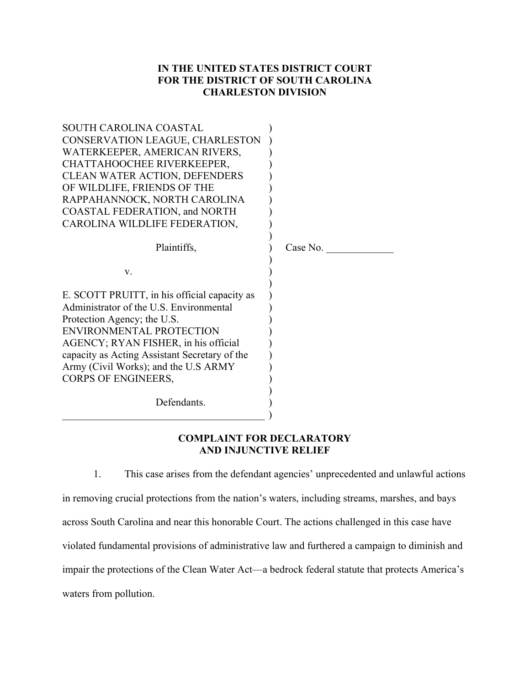# **IN THE UNITED STATES DISTRICT COURT FOR THE DISTRICT OF SOUTH CAROLINA CHARLESTON DIVISION**

| SOUTH CAROLINA COASTAL<br>CONSERVATION LEAGUE, CHARLESTON<br>WATERKEEPER, AMERICAN RIVERS,<br>CHATTAHOOCHEE RIVERKEEPER,<br><b>CLEAN WATER ACTION, DEFENDERS</b><br>OF WILDLIFE, FRIENDS OF THE<br>RAPPAHANNOCK, NORTH CAROLINA<br><b>COASTAL FEDERATION, and NORTH</b><br>CAROLINA WILDLIFE FEDERATION,          |          |
|-------------------------------------------------------------------------------------------------------------------------------------------------------------------------------------------------------------------------------------------------------------------------------------------------------------------|----------|
| Plaintiffs,                                                                                                                                                                                                                                                                                                       | Case No. |
| V.                                                                                                                                                                                                                                                                                                                |          |
| E. SCOTT PRUITT, in his official capacity as<br>Administrator of the U.S. Environmental<br>Protection Agency; the U.S.<br>ENVIRONMENTAL PROTECTION<br>AGENCY; RYAN FISHER, in his official<br>capacity as Acting Assistant Secretary of the<br>Army (Civil Works); and the U.S ARMY<br><b>CORPS OF ENGINEERS,</b> |          |
| Defendants.                                                                                                                                                                                                                                                                                                       |          |

## **COMPLAINT FOR DECLARATORY AND INJUNCTIVE RELIEF**

1. This case arises from the defendant agencies' unprecedented and unlawful actions in removing crucial protections from the nation's waters, including streams, marshes, and bays across South Carolina and near this honorable Court. The actions challenged in this case have violated fundamental provisions of administrative law and furthered a campaign to diminish and impair the protections of the Clean Water Act—a bedrock federal statute that protects America's waters from pollution.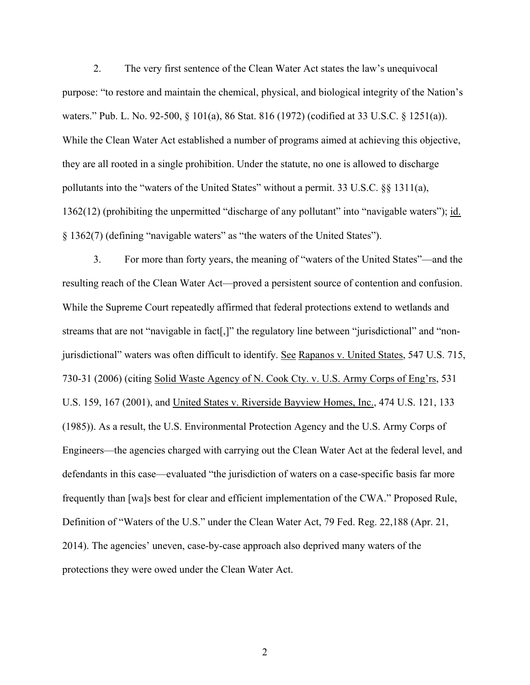2. The very first sentence of the Clean Water Act states the law's unequivocal purpose: "to restore and maintain the chemical, physical, and biological integrity of the Nation's waters." Pub. L. No. 92-500, § 101(a), 86 Stat. 816 (1972) (codified at 33 U.S.C. § 1251(a)). While the Clean Water Act established a number of programs aimed at achieving this objective, they are all rooted in a single prohibition. Under the statute, no one is allowed to discharge pollutants into the "waters of the United States" without a permit. 33 U.S.C.  $\S$  1311(a), 1362(12) (prohibiting the unpermitted "discharge of any pollutant" into "navigable waters"); id. § 1362(7) (defining "navigable waters" as "the waters of the United States").

3. For more than forty years, the meaning of "waters of the United States"—and the resulting reach of the Clean Water Act—proved a persistent source of contention and confusion. While the Supreme Court repeatedly affirmed that federal protections extend to wetlands and streams that are not "navigable in fact[,]" the regulatory line between "jurisdictional" and "nonjurisdictional" waters was often difficult to identify. See Rapanos v. United States, 547 U.S. 715, 730-31 (2006) (citing Solid Waste Agency of N. Cook Cty. v. U.S. Army Corps of Eng'rs, 531 U.S. 159, 167 (2001), and United States v. Riverside Bayview Homes, Inc., 474 U.S. 121, 133 (1985)). As a result, the U.S. Environmental Protection Agency and the U.S. Army Corps of Engineers—the agencies charged with carrying out the Clean Water Act at the federal level, and defendants in this case—evaluated "the jurisdiction of waters on a case-specific basis far more frequently than [wa]s best for clear and efficient implementation of the CWA." Proposed Rule, Definition of "Waters of the U.S." under the Clean Water Act, 79 Fed. Reg. 22,188 (Apr. 21, 2014). The agencies' uneven, case-by-case approach also deprived many waters of the protections they were owed under the Clean Water Act.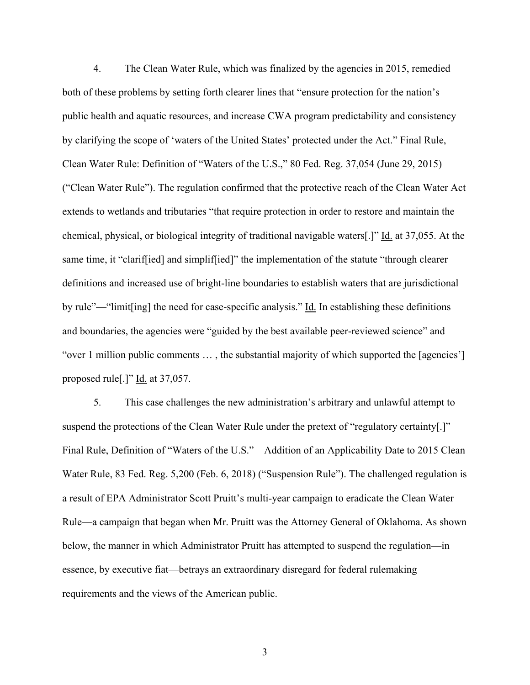4. The Clean Water Rule, which was finalized by the agencies in 2015, remedied both of these problems by setting forth clearer lines that "ensure protection for the nation's public health and aquatic resources, and increase CWA program predictability and consistency by clarifying the scope of 'waters of the United States' protected under the Act." Final Rule, Clean Water Rule: Definition of "Waters of the U.S.," 80 Fed. Reg. 37,054 (June 29, 2015) ("Clean Water Rule"). The regulation confirmed that the protective reach of the Clean Water Act extends to wetlands and tributaries "that require protection in order to restore and maintain the chemical, physical, or biological integrity of traditional navigable waters[.]" Id. at 37,055. At the same time, it "clariffied] and simpliffied]" the implementation of the statute "through clearer definitions and increased use of bright-line boundaries to establish waters that are jurisdictional by rule"—"limit[ing] the need for case-specific analysis." Id. In establishing these definitions and boundaries, the agencies were "guided by the best available peer-reviewed science" and "over 1 million public comments … , the substantial majority of which supported the [agencies'] proposed rule[.]" Id. at 37,057.

5. This case challenges the new administration's arbitrary and unlawful attempt to suspend the protections of the Clean Water Rule under the pretext of "regulatory certainty[.]" Final Rule, Definition of "Waters of the U.S."—Addition of an Applicability Date to 2015 Clean Water Rule, 83 Fed. Reg. 5,200 (Feb. 6, 2018) ("Suspension Rule"). The challenged regulation is a result of EPA Administrator Scott Pruitt's multi-year campaign to eradicate the Clean Water Rule—a campaign that began when Mr. Pruitt was the Attorney General of Oklahoma. As shown below, the manner in which Administrator Pruitt has attempted to suspend the regulation—in essence, by executive fiat—betrays an extraordinary disregard for federal rulemaking requirements and the views of the American public.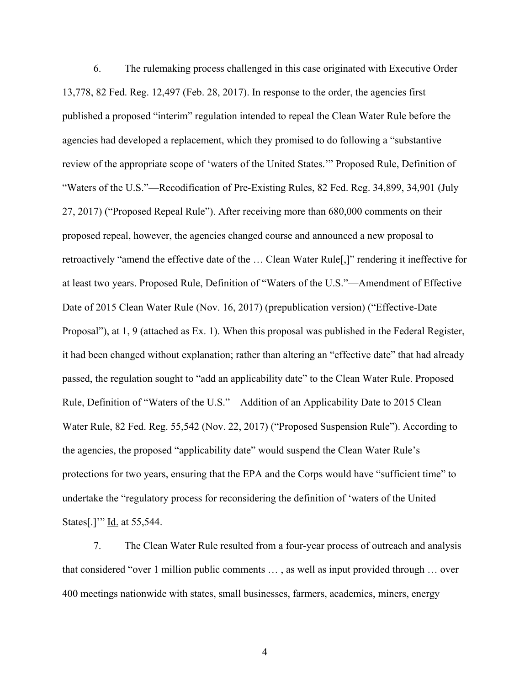6. The rulemaking process challenged in this case originated with Executive Order 13,778, 82 Fed. Reg. 12,497 (Feb. 28, 2017). In response to the order, the agencies first published a proposed "interim" regulation intended to repeal the Clean Water Rule before the agencies had developed a replacement, which they promised to do following a "substantive review of the appropriate scope of 'waters of the United States.'" Proposed Rule, Definition of "Waters of the U.S."—Recodification of Pre-Existing Rules, 82 Fed. Reg. 34,899, 34,901 (July 27, 2017) ("Proposed Repeal Rule"). After receiving more than 680,000 comments on their proposed repeal, however, the agencies changed course and announced a new proposal to retroactively "amend the effective date of the … Clean Water Rule[,]" rendering it ineffective for at least two years. Proposed Rule, Definition of "Waters of the U.S."—Amendment of Effective Date of 2015 Clean Water Rule (Nov. 16, 2017) (prepublication version) ("Effective-Date Proposal"), at 1, 9 (attached as Ex. 1). When this proposal was published in the Federal Register, it had been changed without explanation; rather than altering an "effective date" that had already passed, the regulation sought to "add an applicability date" to the Clean Water Rule. Proposed Rule, Definition of "Waters of the U.S."—Addition of an Applicability Date to 2015 Clean Water Rule, 82 Fed. Reg. 55,542 (Nov. 22, 2017) ("Proposed Suspension Rule"). According to the agencies, the proposed "applicability date" would suspend the Clean Water Rule's protections for two years, ensuring that the EPA and the Corps would have "sufficient time" to undertake the "regulatory process for reconsidering the definition of 'waters of the United States[.]'" Id. at 55,544.

7. The Clean Water Rule resulted from a four-year process of outreach and analysis that considered "over 1 million public comments … , as well as input provided through … over 400 meetings nationwide with states, small businesses, farmers, academics, miners, energy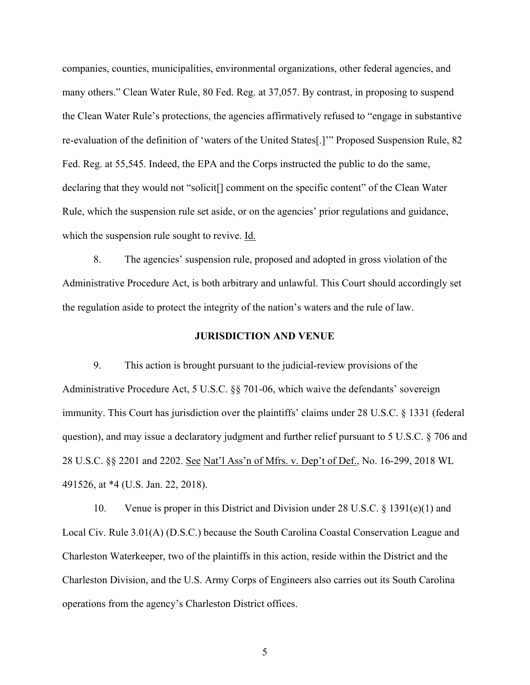companies, counties, municipalities, environmental organizations, other federal agencies, and many others." Clean Water Rule, 80 Fed. Reg. at 37,057. By contrast, in proposing to suspend the Clean Water Rule's protections, the agencies affirmatively refused to "engage in substantive re-evaluation of the definition of 'waters of the United States[.]'" Proposed Suspension Rule, 82 Fed. Reg. at 55,545. Indeed, the EPA and the Corps instructed the public to do the same, declaring that they would not "solicit[] comment on the specific content" of the Clean Water Rule, which the suspension rule set aside, or on the agencies' prior regulations and guidance, which the suspension rule sought to revive. Id.

8. The agencies' suspension rule, proposed and adopted in gross violation of the Administrative Procedure Act, is both arbitrary and unlawful. This Court should accordingly set the regulation aside to protect the integrity of the nation's waters and the rule of law.

#### **JURISDICTION AND VENUE**

9. This action is brought pursuant to the judicial-review provisions of the Administrative Procedure Act, 5 U.S.C. §§ 701-06, which waive the defendants' sovereign immunity. This Court has jurisdiction over the plaintiffs' claims under 28 U.S.C. § 1331 (federal question), and may issue a declaratory judgment and further relief pursuant to 5 U.S.C. § 706 and 28 U.S.C. §§ 2201 and 2202. See Nat'l Ass'n of Mfrs. v. Dep't of Def., No. 16-299, 2018 WL 491526, at \*4 (U.S. Jan. 22, 2018).

10. Venue is proper in this District and Division under 28 U.S.C. § 1391(e)(1) and Local Civ. Rule 3.01(A) (D.S.C.) because the South Carolina Coastal Conservation League and Charleston Waterkeeper, two of the plaintiffs in this action, reside within the District and the Charleston Division, and the U.S. Army Corps of Engineers also carries out its South Carolina operations from the agency's Charleston District offices.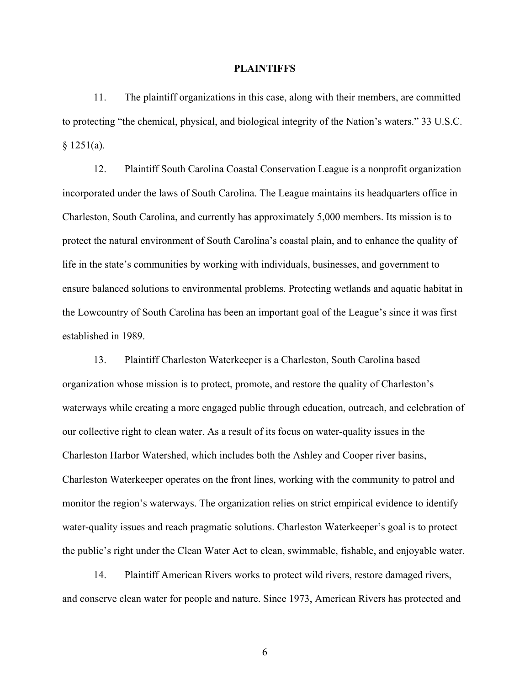#### **PLAINTIFFS**

11. The plaintiff organizations in this case, along with their members, are committed to protecting "the chemical, physical, and biological integrity of the Nation's waters." 33 U.S.C.  $§ 1251(a).$ 

12. Plaintiff South Carolina Coastal Conservation League is a nonprofit organization incorporated under the laws of South Carolina. The League maintains its headquarters office in Charleston, South Carolina, and currently has approximately 5,000 members. Its mission is to protect the natural environment of South Carolina's coastal plain, and to enhance the quality of life in the state's communities by working with individuals, businesses, and government to ensure balanced solutions to environmental problems. Protecting wetlands and aquatic habitat in the Lowcountry of South Carolina has been an important goal of the League's since it was first established in 1989.

13. Plaintiff Charleston Waterkeeper is a Charleston, South Carolina based organization whose mission is to protect, promote, and restore the quality of Charleston's waterways while creating a more engaged public through education, outreach, and celebration of our collective right to clean water. As a result of its focus on water-quality issues in the Charleston Harbor Watershed, which includes both the Ashley and Cooper river basins, Charleston Waterkeeper operates on the front lines, working with the community to patrol and monitor the region's waterways. The organization relies on strict empirical evidence to identify water-quality issues and reach pragmatic solutions. Charleston Waterkeeper's goal is to protect the public's right under the Clean Water Act to clean, swimmable, fishable, and enjoyable water.

14. Plaintiff American Rivers works to protect wild rivers, restore damaged rivers, and conserve clean water for people and nature. Since 1973, American Rivers has protected and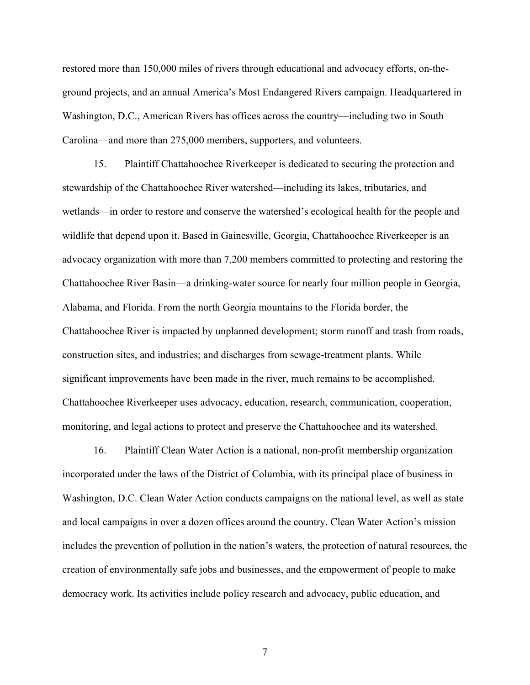restored more than 150,000 miles of rivers through educational and advocacy efforts, on-theground projects, and an annual America's Most Endangered Rivers campaign. Headquartered in Washington, D.C., American Rivers has offices across the country—including two in South Carolina—and more than 275,000 members, supporters, and volunteers.

15. Plaintiff Chattahoochee Riverkeeper is dedicated to securing the protection and stewardship of the Chattahoochee River watershed—including its lakes, tributaries, and wetlands—in order to restore and conserve the watershed's ecological health for the people and wildlife that depend upon it. Based in Gainesville, Georgia, Chattahoochee Riverkeeper is an advocacy organization with more than 7,200 members committed to protecting and restoring the Chattahoochee River Basin—a drinking-water source for nearly four million people in Georgia, Alabama, and Florida. From the north Georgia mountains to the Florida border, the Chattahoochee River is impacted by unplanned development; storm runoff and trash from roads, construction sites, and industries; and discharges from sewage-treatment plants. While significant improvements have been made in the river, much remains to be accomplished. Chattahoochee Riverkeeper uses advocacy, education, research, communication, cooperation, monitoring, and legal actions to protect and preserve the Chattahoochee and its watershed.

16. Plaintiff Clean Water Action is a national, non-profit membership organization incorporated under the laws of the District of Columbia, with its principal place of business in Washington, D.C. Clean Water Action conducts campaigns on the national level, as well as state and local campaigns in over a dozen offices around the country. Clean Water Action's mission includes the prevention of pollution in the nation's waters, the protection of natural resources, the creation of environmentally safe jobs and businesses, and the empowerment of people to make democracy work. Its activities include policy research and advocacy, public education, and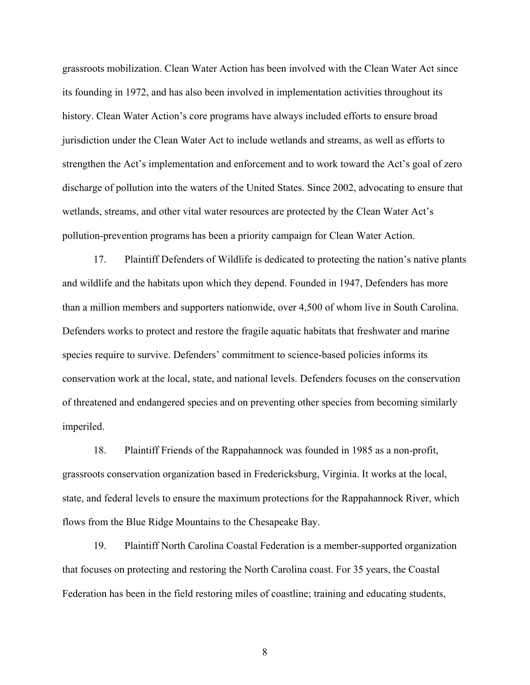grassroots mobilization. Clean Water Action has been involved with the Clean Water Act since its founding in 1972, and has also been involved in implementation activities throughout its history. Clean Water Action's core programs have always included efforts to ensure broad jurisdiction under the Clean Water Act to include wetlands and streams, as well as efforts to strengthen the Act's implementation and enforcement and to work toward the Act's goal of zero discharge of pollution into the waters of the United States. Since 2002, advocating to ensure that wetlands, streams, and other vital water resources are protected by the Clean Water Act's pollution-prevention programs has been a priority campaign for Clean Water Action.

17. Plaintiff Defenders of Wildlife is dedicated to protecting the nation's native plants and wildlife and the habitats upon which they depend. Founded in 1947, Defenders has more than a million members and supporters nationwide, over 4,500 of whom live in South Carolina. Defenders works to protect and restore the fragile aquatic habitats that freshwater and marine species require to survive. Defenders' commitment to science-based policies informs its conservation work at the local, state, and national levels. Defenders focuses on the conservation of threatened and endangered species and on preventing other species from becoming similarly imperiled.

18. Plaintiff Friends of the Rappahannock was founded in 1985 as a non-profit, grassroots conservation organization based in Fredericksburg, Virginia. It works at the local, state, and federal levels to ensure the maximum protections for the Rappahannock River, which flows from the Blue Ridge Mountains to the Chesapeake Bay.

19. Plaintiff North Carolina Coastal Federation is a member-supported organization that focuses on protecting and restoring the North Carolina coast. For 35 years, the Coastal Federation has been in the field restoring miles of coastline; training and educating students,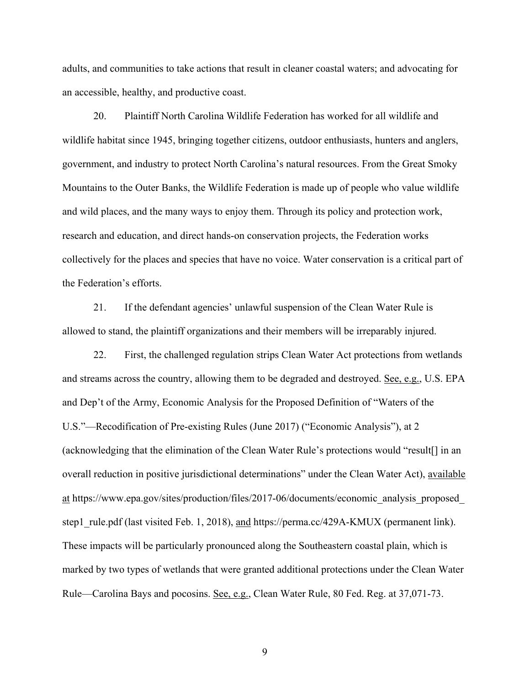adults, and communities to take actions that result in cleaner coastal waters; and advocating for an accessible, healthy, and productive coast.

20. Plaintiff North Carolina Wildlife Federation has worked for all wildlife and wildlife habitat since 1945, bringing together citizens, outdoor enthusiasts, hunters and anglers, government, and industry to protect North Carolina's natural resources. From the Great Smoky Mountains to the Outer Banks, the Wildlife Federation is made up of people who value wildlife and wild places, and the many ways to enjoy them. Through its policy and protection work, research and education, and direct hands-on conservation projects, the Federation works collectively for the places and species that have no voice. Water conservation is a critical part of the Federation's efforts.

21. If the defendant agencies' unlawful suspension of the Clean Water Rule is allowed to stand, the plaintiff organizations and their members will be irreparably injured.

22. First, the challenged regulation strips Clean Water Act protections from wetlands and streams across the country, allowing them to be degraded and destroyed. See, e.g., U.S. EPA and Dep't of the Army, Economic Analysis for the Proposed Definition of "Waters of the U.S."—Recodification of Pre-existing Rules (June 2017) ("Economic Analysis"), at 2 (acknowledging that the elimination of the Clean Water Rule's protections would "result[] in an overall reduction in positive jurisdictional determinations" under the Clean Water Act), available at https://www.epa.gov/sites/production/files/2017-06/documents/economic\_analysis\_proposed\_ step1 rule.pdf (last visited Feb. 1, 2018), and https://perma.cc/429A-KMUX (permanent link). These impacts will be particularly pronounced along the Southeastern coastal plain, which is marked by two types of wetlands that were granted additional protections under the Clean Water Rule—Carolina Bays and pocosins. See, e.g., Clean Water Rule, 80 Fed. Reg. at 37,071-73.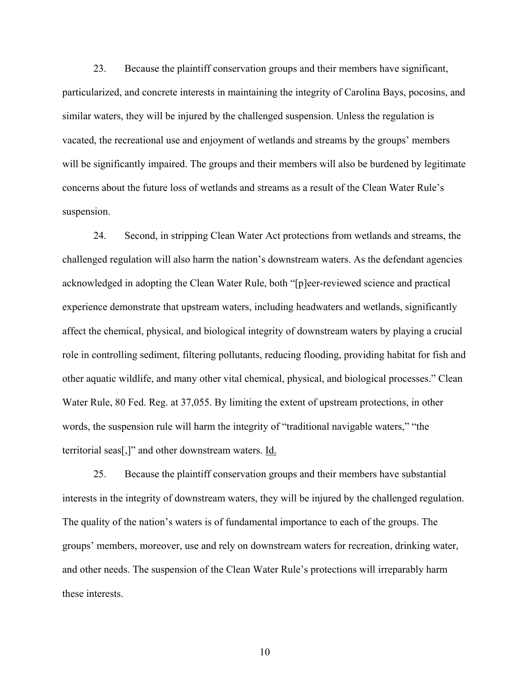23. Because the plaintiff conservation groups and their members have significant, particularized, and concrete interests in maintaining the integrity of Carolina Bays, pocosins, and similar waters, they will be injured by the challenged suspension. Unless the regulation is vacated, the recreational use and enjoyment of wetlands and streams by the groups' members will be significantly impaired. The groups and their members will also be burdened by legitimate concerns about the future loss of wetlands and streams as a result of the Clean Water Rule's suspension.

24. Second, in stripping Clean Water Act protections from wetlands and streams, the challenged regulation will also harm the nation's downstream waters. As the defendant agencies acknowledged in adopting the Clean Water Rule, both "[p]eer-reviewed science and practical experience demonstrate that upstream waters, including headwaters and wetlands, significantly affect the chemical, physical, and biological integrity of downstream waters by playing a crucial role in controlling sediment, filtering pollutants, reducing flooding, providing habitat for fish and other aquatic wildlife, and many other vital chemical, physical, and biological processes." Clean Water Rule, 80 Fed. Reg. at 37,055. By limiting the extent of upstream protections, in other words, the suspension rule will harm the integrity of "traditional navigable waters," "the territorial seas[,]" and other downstream waters. Id.

25. Because the plaintiff conservation groups and their members have substantial interests in the integrity of downstream waters, they will be injured by the challenged regulation. The quality of the nation's waters is of fundamental importance to each of the groups. The groups' members, moreover, use and rely on downstream waters for recreation, drinking water, and other needs. The suspension of the Clean Water Rule's protections will irreparably harm these interests.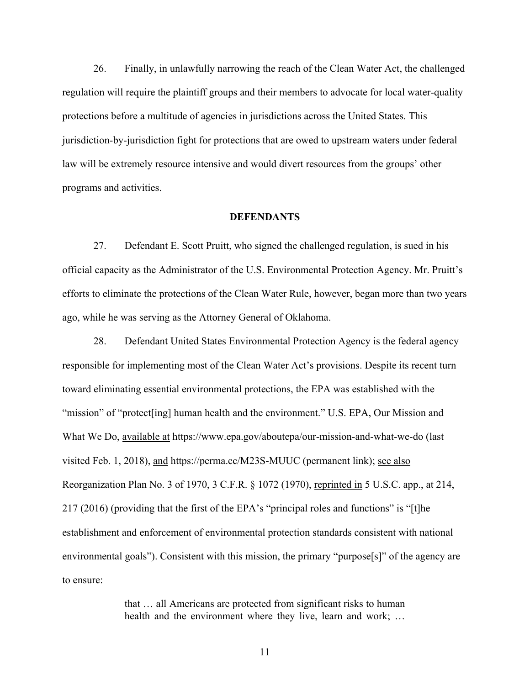26. Finally, in unlawfully narrowing the reach of the Clean Water Act, the challenged regulation will require the plaintiff groups and their members to advocate for local water-quality protections before a multitude of agencies in jurisdictions across the United States. This jurisdiction-by-jurisdiction fight for protections that are owed to upstream waters under federal law will be extremely resource intensive and would divert resources from the groups' other programs and activities.

#### **DEFENDANTS**

27. Defendant E. Scott Pruitt, who signed the challenged regulation, is sued in his official capacity as the Administrator of the U.S. Environmental Protection Agency. Mr. Pruitt's efforts to eliminate the protections of the Clean Water Rule, however, began more than two years ago, while he was serving as the Attorney General of Oklahoma.

28. Defendant United States Environmental Protection Agency is the federal agency responsible for implementing most of the Clean Water Act's provisions. Despite its recent turn toward eliminating essential environmental protections, the EPA was established with the "mission" of "protect[ing] human health and the environment." U.S. EPA, Our Mission and What We Do, available at https://www.epa.gov/aboutepa/our-mission-and-what-we-do (last visited Feb. 1, 2018), and https://perma.cc/M23S-MUUC (permanent link); see also Reorganization Plan No. 3 of 1970, 3 C.F.R. § 1072 (1970), reprinted in 5 U.S.C. app., at 214, 217 (2016) (providing that the first of the EPA's "principal roles and functions" is "[t]he establishment and enforcement of environmental protection standards consistent with national environmental goals"). Consistent with this mission, the primary "purpose[s]" of the agency are to ensure:

> that … all Americans are protected from significant risks to human health and the environment where they live, learn and work; ...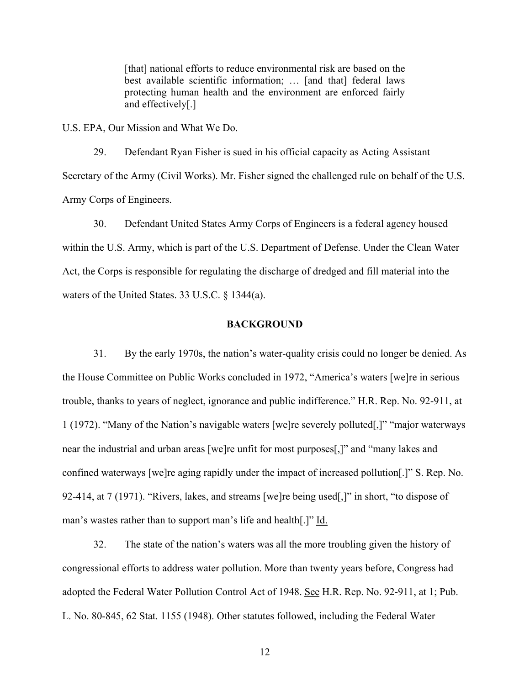[that] national efforts to reduce environmental risk are based on the best available scientific information; … [and that] federal laws protecting human health and the environment are enforced fairly and effectively[.]

U.S. EPA, Our Mission and What We Do.

29. Defendant Ryan Fisher is sued in his official capacity as Acting Assistant Secretary of the Army (Civil Works). Mr. Fisher signed the challenged rule on behalf of the U.S. Army Corps of Engineers.

30. Defendant United States Army Corps of Engineers is a federal agency housed within the U.S. Army, which is part of the U.S. Department of Defense. Under the Clean Water Act, the Corps is responsible for regulating the discharge of dredged and fill material into the waters of the United States. 33 U.S.C. § 1344(a).

### **BACKGROUND**

31. By the early 1970s, the nation's water-quality crisis could no longer be denied. As the House Committee on Public Works concluded in 1972, "America's waters [we]re in serious trouble, thanks to years of neglect, ignorance and public indifference." H.R. Rep. No. 92-911, at 1 (1972). "Many of the Nation's navigable waters [we]re severely polluted[,]" "major waterways near the industrial and urban areas [we]re unfit for most purposes[,]" and "many lakes and confined waterways [we]re aging rapidly under the impact of increased pollution[.]" S. Rep. No. 92-414, at 7 (1971). "Rivers, lakes, and streams [we]re being used[,]" in short, "to dispose of man's wastes rather than to support man's life and health[.]" Id.

32. The state of the nation's waters was all the more troubling given the history of congressional efforts to address water pollution. More than twenty years before, Congress had adopted the Federal Water Pollution Control Act of 1948. See H.R. Rep. No. 92-911, at 1; Pub. L. No. 80-845, 62 Stat. 1155 (1948). Other statutes followed, including the Federal Water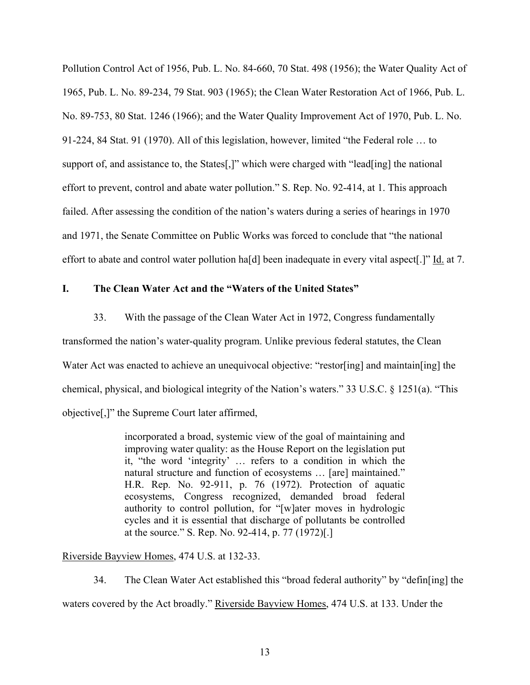Pollution Control Act of 1956, Pub. L. No. 84-660, 70 Stat. 498 (1956); the Water Quality Act of 1965, Pub. L. No. 89-234, 79 Stat. 903 (1965); the Clean Water Restoration Act of 1966, Pub. L. No. 89-753, 80 Stat. 1246 (1966); and the Water Quality Improvement Act of 1970, Pub. L. No. 91-224, 84 Stat. 91 (1970). All of this legislation, however, limited "the Federal role … to support of, and assistance to, the States[,]" which were charged with "lead[ing] the national effort to prevent, control and abate water pollution." S. Rep. No. 92-414, at 1. This approach failed. After assessing the condition of the nation's waters during a series of hearings in 1970 and 1971, the Senate Committee on Public Works was forced to conclude that "the national effort to abate and control water pollution ha[d] been inadequate in every vital aspect[.]" Id. at 7.

### **I. The Clean Water Act and the "Waters of the United States"**

33. With the passage of the Clean Water Act in 1972, Congress fundamentally

transformed the nation's water-quality program. Unlike previous federal statutes, the Clean Water Act was enacted to achieve an unequivocal objective: "restor[ing] and maintain[ing] the chemical, physical, and biological integrity of the Nation's waters." 33 U.S.C. § 1251(a). "This objective[,]" the Supreme Court later affirmed,

> incorporated a broad, systemic view of the goal of maintaining and improving water quality: as the House Report on the legislation put it, "the word 'integrity' … refers to a condition in which the natural structure and function of ecosystems … [are] maintained." H.R. Rep. No. 92-911, p. 76 (1972). Protection of aquatic ecosystems, Congress recognized, demanded broad federal authority to control pollution, for "[w]ater moves in hydrologic cycles and it is essential that discharge of pollutants be controlled at the source." S. Rep. No. 92-414, p. 77 (1972)[.]

### Riverside Bayview Homes, 474 U.S. at 132-33.

34. The Clean Water Act established this "broad federal authority" by "defin[ing] the waters covered by the Act broadly." Riverside Bayview Homes, 474 U.S. at 133. Under the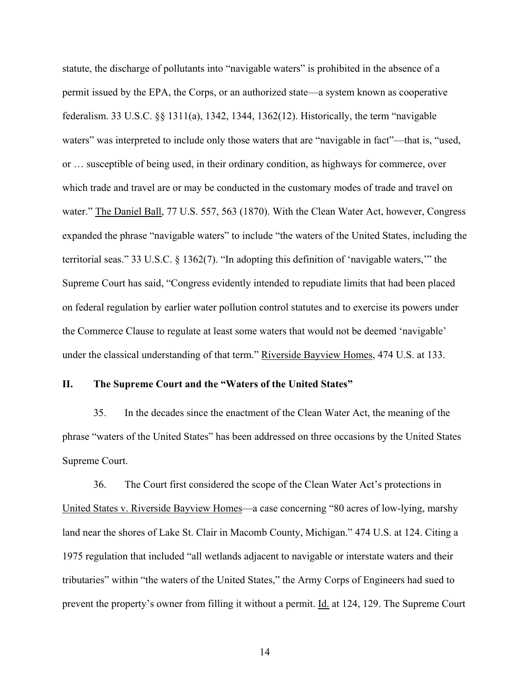statute, the discharge of pollutants into "navigable waters" is prohibited in the absence of a permit issued by the EPA, the Corps, or an authorized state—a system known as cooperative federalism. 33 U.S.C. §§ 1311(a), 1342, 1344, 1362(12). Historically, the term "navigable waters" was interpreted to include only those waters that are "navigable in fact"—that is, "used, or … susceptible of being used, in their ordinary condition, as highways for commerce, over which trade and travel are or may be conducted in the customary modes of trade and travel on water." The Daniel Ball, 77 U.S. 557, 563 (1870). With the Clean Water Act, however, Congress expanded the phrase "navigable waters" to include "the waters of the United States, including the territorial seas." 33 U.S.C. § 1362(7). "In adopting this definition of 'navigable waters,'" the Supreme Court has said, "Congress evidently intended to repudiate limits that had been placed on federal regulation by earlier water pollution control statutes and to exercise its powers under the Commerce Clause to regulate at least some waters that would not be deemed 'navigable' under the classical understanding of that term." Riverside Bayview Homes, 474 U.S. at 133.

#### **II. The Supreme Court and the "Waters of the United States"**

35. In the decades since the enactment of the Clean Water Act, the meaning of the phrase "waters of the United States" has been addressed on three occasions by the United States Supreme Court.

36. The Court first considered the scope of the Clean Water Act's protections in United States v. Riverside Bayview Homes—a case concerning "80 acres of low-lying, marshy land near the shores of Lake St. Clair in Macomb County, Michigan." 474 U.S. at 124. Citing a 1975 regulation that included "all wetlands adjacent to navigable or interstate waters and their tributaries" within "the waters of the United States," the Army Corps of Engineers had sued to prevent the property's owner from filling it without a permit. Id. at 124, 129. The Supreme Court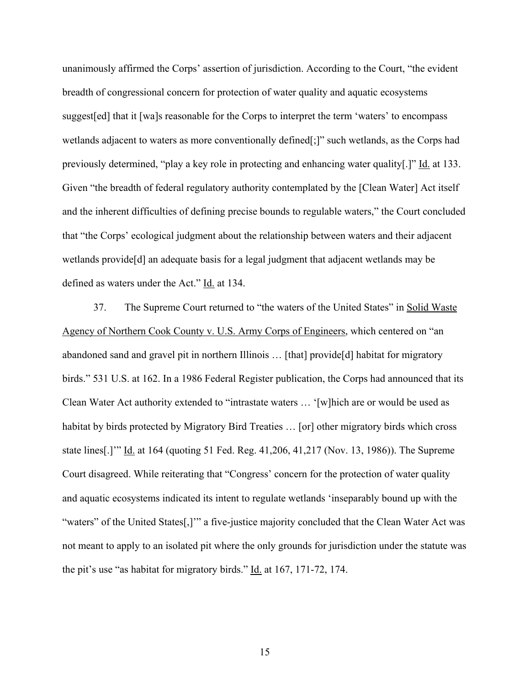unanimously affirmed the Corps' assertion of jurisdiction. According to the Court, "the evident breadth of congressional concern for protection of water quality and aquatic ecosystems suggest[ed] that it [wa]s reasonable for the Corps to interpret the term 'waters' to encompass wetlands adjacent to waters as more conventionally defined[;]" such wetlands, as the Corps had previously determined, "play a key role in protecting and enhancing water quality[.]" Id. at 133. Given "the breadth of federal regulatory authority contemplated by the [Clean Water] Act itself and the inherent difficulties of defining precise bounds to regulable waters," the Court concluded that "the Corps' ecological judgment about the relationship between waters and their adjacent wetlands provide[d] an adequate basis for a legal judgment that adjacent wetlands may be defined as waters under the Act." Id. at 134.

37. The Supreme Court returned to "the waters of the United States" in Solid Waste Agency of Northern Cook County v. U.S. Army Corps of Engineers, which centered on "an abandoned sand and gravel pit in northern Illinois … [that] provide[d] habitat for migratory birds." 531 U.S. at 162. In a 1986 Federal Register publication, the Corps had announced that its Clean Water Act authority extended to "intrastate waters … '[w]hich are or would be used as habitat by birds protected by Migratory Bird Treaties … [or] other migratory birds which cross state lines[.]'" Id. at 164 (quoting 51 Fed. Reg. 41,206, 41,217 (Nov. 13, 1986)). The Supreme Court disagreed. While reiterating that "Congress' concern for the protection of water quality and aquatic ecosystems indicated its intent to regulate wetlands 'inseparably bound up with the "waters" of the United States[,]'" a five-justice majority concluded that the Clean Water Act was not meant to apply to an isolated pit where the only grounds for jurisdiction under the statute was the pit's use "as habitat for migratory birds." Id. at 167, 171-72, 174.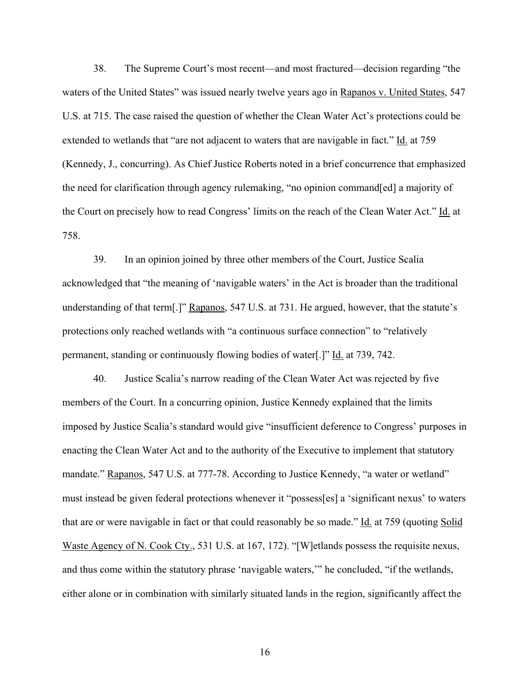38. The Supreme Court's most recent—and most fractured—decision regarding "the waters of the United States" was issued nearly twelve years ago in Rapanos v. United States, 547 U.S. at 715. The case raised the question of whether the Clean Water Act's protections could be extended to wetlands that "are not adjacent to waters that are navigable in fact." Id. at 759 (Kennedy, J., concurring). As Chief Justice Roberts noted in a brief concurrence that emphasized the need for clarification through agency rulemaking, "no opinion command[ed] a majority of the Court on precisely how to read Congress' limits on the reach of the Clean Water Act." Id. at 758.

39. In an opinion joined by three other members of the Court, Justice Scalia acknowledged that "the meaning of 'navigable waters' in the Act is broader than the traditional understanding of that term[.]" Rapanos, 547 U.S. at 731. He argued, however, that the statute's protections only reached wetlands with "a continuous surface connection" to "relatively permanent, standing or continuously flowing bodies of water[.]" Id. at 739, 742.

40. Justice Scalia's narrow reading of the Clean Water Act was rejected by five members of the Court. In a concurring opinion, Justice Kennedy explained that the limits imposed by Justice Scalia's standard would give "insufficient deference to Congress' purposes in enacting the Clean Water Act and to the authority of the Executive to implement that statutory mandate." Rapanos, 547 U.S. at 777-78. According to Justice Kennedy, "a water or wetland" must instead be given federal protections whenever it "possess[es] a 'significant nexus' to waters that are or were navigable in fact or that could reasonably be so made." Id. at 759 (quoting Solid Waste Agency of N. Cook Cty., 531 U.S. at 167, 172). "[W] etlands possess the requisite nexus, and thus come within the statutory phrase 'navigable waters,'" he concluded, "if the wetlands, either alone or in combination with similarly situated lands in the region, significantly affect the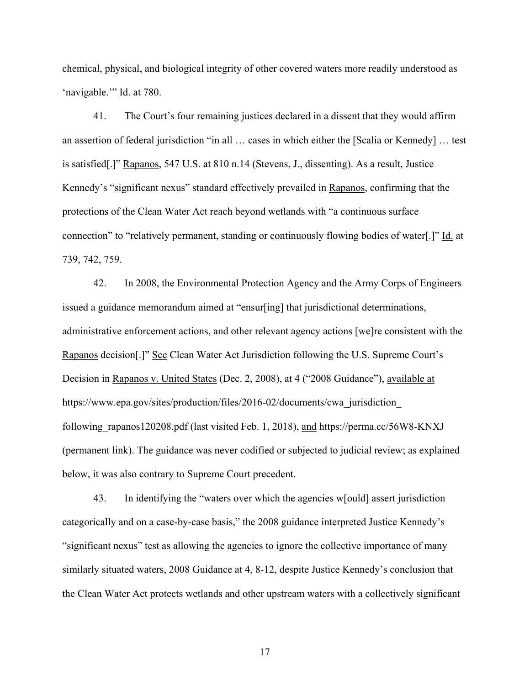chemical, physical, and biological integrity of other covered waters more readily understood as 'navigable.'" Id. at 780.

41. The Court's four remaining justices declared in a dissent that they would affirm an assertion of federal jurisdiction "in all … cases in which either the [Scalia or Kennedy] … test is satisfied[.]" Rapanos, 547 U.S. at 810 n.14 (Stevens, J., dissenting). As a result, Justice Kennedy's "significant nexus" standard effectively prevailed in Rapanos, confirming that the protections of the Clean Water Act reach beyond wetlands with "a continuous surface connection" to "relatively permanent, standing or continuously flowing bodies of water[.]" Id. at 739, 742, 759.

42. In 2008, the Environmental Protection Agency and the Army Corps of Engineers issued a guidance memorandum aimed at "ensur[ing] that jurisdictional determinations, administrative enforcement actions, and other relevant agency actions [we]re consistent with the Rapanos decision[.]" See Clean Water Act Jurisdiction following the U.S. Supreme Court's Decision in Rapanos v. United States (Dec. 2, 2008), at 4 ("2008 Guidance"), available at https://www.epa.gov/sites/production/files/2016-02/documents/cwa\_jurisdiction\_ following rapanos120208.pdf (last visited Feb. 1, 2018), and https://perma.cc/56W8-KNXJ (permanent link). The guidance was never codified or subjected to judicial review; as explained below, it was also contrary to Supreme Court precedent.

43. In identifying the "waters over which the agencies w[ould] assert jurisdiction categorically and on a case-by-case basis," the 2008 guidance interpreted Justice Kennedy's "significant nexus" test as allowing the agencies to ignore the collective importance of many similarly situated waters, 2008 Guidance at 4, 8-12, despite Justice Kennedy's conclusion that the Clean Water Act protects wetlands and other upstream waters with a collectively significant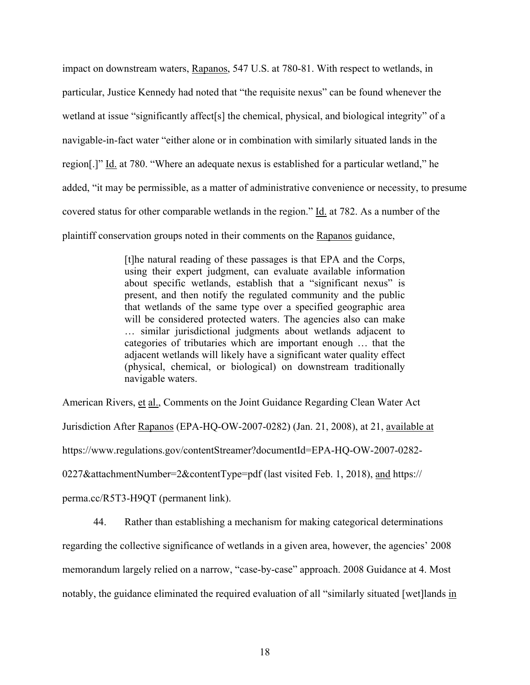impact on downstream waters, Rapanos, 547 U.S. at 780-81. With respect to wetlands, in particular, Justice Kennedy had noted that "the requisite nexus" can be found whenever the wetland at issue "significantly affect [s] the chemical, physical, and biological integrity" of a navigable-in-fact water "either alone or in combination with similarly situated lands in the region[.]" Id. at 780. "Where an adequate nexus is established for a particular wetland," he added, "it may be permissible, as a matter of administrative convenience or necessity, to presume covered status for other comparable wetlands in the region." Id. at 782. As a number of the plaintiff conservation groups noted in their comments on the Rapanos guidance,

> [t]he natural reading of these passages is that EPA and the Corps, using their expert judgment, can evaluate available information about specific wetlands, establish that a "significant nexus" is present, and then notify the regulated community and the public that wetlands of the same type over a specified geographic area will be considered protected waters. The agencies also can make … similar jurisdictional judgments about wetlands adjacent to categories of tributaries which are important enough … that the adjacent wetlands will likely have a significant water quality effect (physical, chemical, or biological) on downstream traditionally navigable waters.

American Rivers, et al., Comments on the Joint Guidance Regarding Clean Water Act Jurisdiction After Rapanos (EPA-HQ-OW-2007-0282) (Jan. 21, 2008), at 21, available at https://www.regulations.gov/contentStreamer?documentId=EPA-HQ-OW-2007-0282- 0227&attachmentNumber=2&contentType=pdf (last visited Feb. 1, 2018), and https:// perma.cc/R5T3-H9QT (permanent link).

44. Rather than establishing a mechanism for making categorical determinations regarding the collective significance of wetlands in a given area, however, the agencies' 2008 memorandum largely relied on a narrow, "case-by-case" approach. 2008 Guidance at 4. Most notably, the guidance eliminated the required evaluation of all "similarly situated [wet]lands in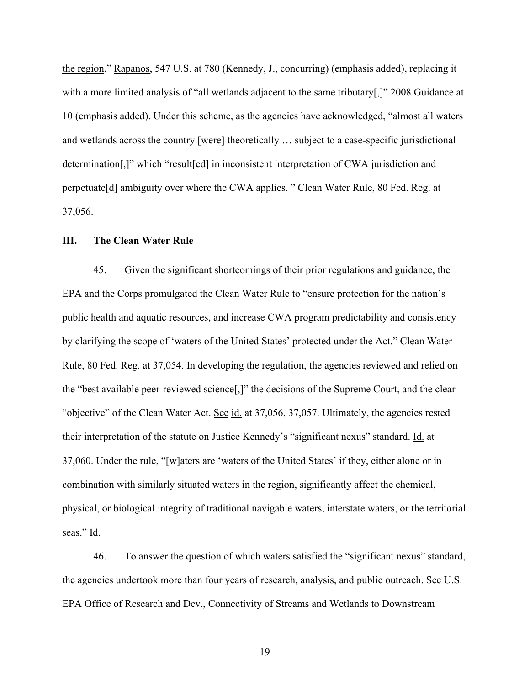the region," Rapanos, 547 U.S. at 780 (Kennedy, J., concurring) (emphasis added), replacing it with a more limited analysis of "all wetlands adjacent to the same tributary[,]" 2008 Guidance at 10 (emphasis added). Under this scheme, as the agencies have acknowledged, "almost all waters and wetlands across the country [were] theoretically … subject to a case-specific jurisdictional determination[,]" which "result[ed] in inconsistent interpretation of CWA jurisdiction and perpetuate[d] ambiguity over where the CWA applies. " Clean Water Rule, 80 Fed. Reg. at 37,056.

### **III. The Clean Water Rule**

45. Given the significant shortcomings of their prior regulations and guidance, the EPA and the Corps promulgated the Clean Water Rule to "ensure protection for the nation's public health and aquatic resources, and increase CWA program predictability and consistency by clarifying the scope of 'waters of the United States' protected under the Act." Clean Water Rule, 80 Fed. Reg. at 37,054. In developing the regulation, the agencies reviewed and relied on the "best available peer-reviewed science[,]" the decisions of the Supreme Court, and the clear "objective" of the Clean Water Act. See id. at 37,056, 37,057. Ultimately, the agencies rested their interpretation of the statute on Justice Kennedy's "significant nexus" standard. Id. at 37,060. Under the rule, "[w]aters are 'waters of the United States' if they, either alone or in combination with similarly situated waters in the region, significantly affect the chemical, physical, or biological integrity of traditional navigable waters, interstate waters, or the territorial seas." Id.

46. To answer the question of which waters satisfied the "significant nexus" standard, the agencies undertook more than four years of research, analysis, and public outreach. See U.S. EPA Office of Research and Dev., Connectivity of Streams and Wetlands to Downstream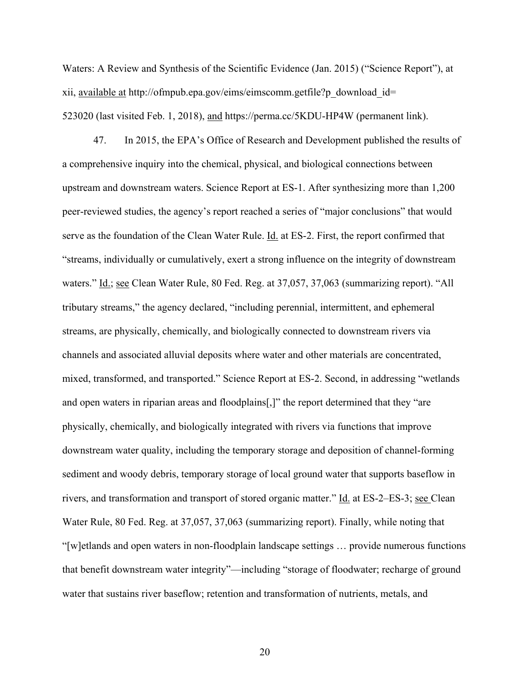Waters: A Review and Synthesis of the Scientific Evidence (Jan. 2015) ("Science Report"), at xii, available at http://ofmpub.epa.gov/eims/eimscomm.getfile?p\_download\_id= 523020 (last visited Feb. 1, 2018), and https://perma.cc/5KDU-HP4W (permanent link).

47. In 2015, the EPA's Office of Research and Development published the results of a comprehensive inquiry into the chemical, physical, and biological connections between upstream and downstream waters. Science Report at ES-1. After synthesizing more than 1,200 peer-reviewed studies, the agency's report reached a series of "major conclusions" that would serve as the foundation of the Clean Water Rule. Id. at ES-2. First, the report confirmed that "streams, individually or cumulatively, exert a strong influence on the integrity of downstream waters." Id.; see Clean Water Rule, 80 Fed. Reg. at 37,057, 37,063 (summarizing report). "All tributary streams," the agency declared, "including perennial, intermittent, and ephemeral streams, are physically, chemically, and biologically connected to downstream rivers via channels and associated alluvial deposits where water and other materials are concentrated, mixed, transformed, and transported." Science Report at ES-2. Second, in addressing "wetlands and open waters in riparian areas and floodplains[,]" the report determined that they "are physically, chemically, and biologically integrated with rivers via functions that improve downstream water quality, including the temporary storage and deposition of channel-forming sediment and woody debris, temporary storage of local ground water that supports baseflow in rivers, and transformation and transport of stored organic matter." Id. at ES-2–ES-3; see Clean Water Rule, 80 Fed. Reg. at 37,057, 37,063 (summarizing report). Finally, while noting that "[w]etlands and open waters in non-floodplain landscape settings … provide numerous functions that benefit downstream water integrity"—including "storage of floodwater; recharge of ground water that sustains river baseflow; retention and transformation of nutrients, metals, and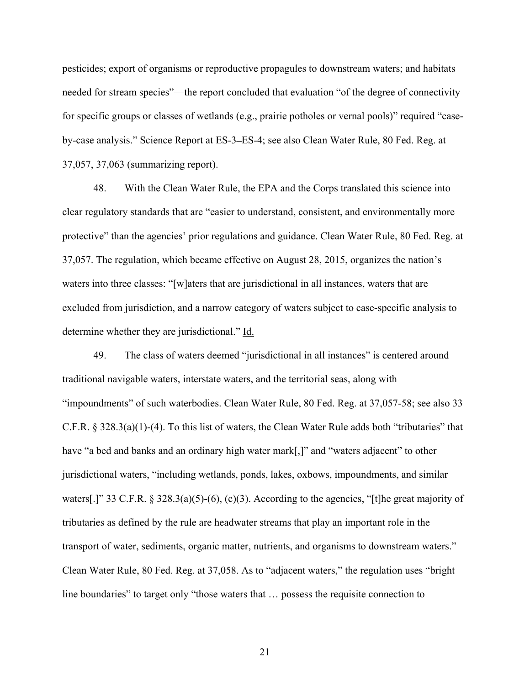pesticides; export of organisms or reproductive propagules to downstream waters; and habitats needed for stream species"—the report concluded that evaluation "of the degree of connectivity for specific groups or classes of wetlands (e.g., prairie potholes or vernal pools)" required "caseby-case analysis." Science Report at ES-3–ES-4; see also Clean Water Rule, 80 Fed. Reg. at 37,057, 37,063 (summarizing report).

48. With the Clean Water Rule, the EPA and the Corps translated this science into clear regulatory standards that are "easier to understand, consistent, and environmentally more protective" than the agencies' prior regulations and guidance. Clean Water Rule, 80 Fed. Reg. at 37,057. The regulation, which became effective on August 28, 2015, organizes the nation's waters into three classes: "[w]aters that are jurisdictional in all instances, waters that are excluded from jurisdiction, and a narrow category of waters subject to case-specific analysis to determine whether they are jurisdictional." Id.

49. The class of waters deemed "jurisdictional in all instances" is centered around traditional navigable waters, interstate waters, and the territorial seas, along with "impoundments" of such waterbodies. Clean Water Rule, 80 Fed. Reg. at 37,057-58; see also 33 C.F.R. § 328.3(a)(1)-(4). To this list of waters, the Clean Water Rule adds both "tributaries" that have "a bed and banks and an ordinary high water mark[,]" and "waters adjacent" to other jurisdictional waters, "including wetlands, ponds, lakes, oxbows, impoundments, and similar waters[.]" 33 C.F.R. § 328.3(a)(5)-(6), (c)(3). According to the agencies, "[t]he great majority of tributaries as defined by the rule are headwater streams that play an important role in the transport of water, sediments, organic matter, nutrients, and organisms to downstream waters." Clean Water Rule, 80 Fed. Reg. at 37,058. As to "adjacent waters," the regulation uses "bright line boundaries" to target only "those waters that … possess the requisite connection to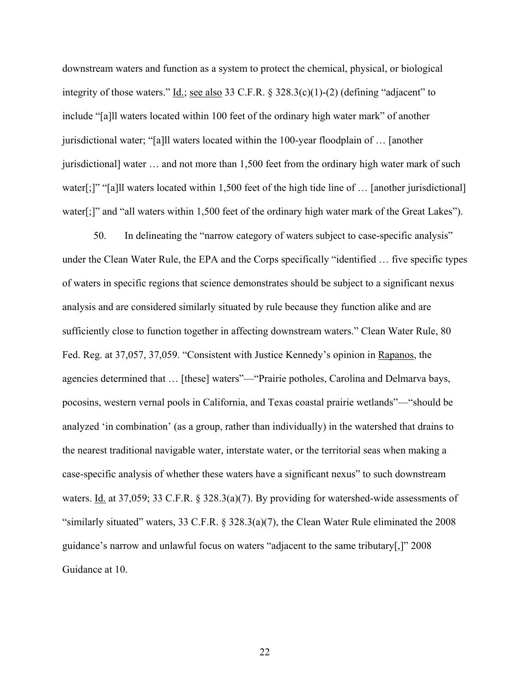downstream waters and function as a system to protect the chemical, physical, or biological integrity of those waters." Id.; see also 33 C.F.R. § 328.3(c)(1)-(2) (defining "adjacent" to include "[a]ll waters located within 100 feet of the ordinary high water mark" of another jurisdictional water; "[a]ll waters located within the 100-year floodplain of … [another jurisdictional] water … and not more than 1,500 feet from the ordinary high water mark of such water[;]" "[a]ll waters located within 1,500 feet of the high tide line of ... [another jurisdictional] water[;]" and "all waters within 1,500 feet of the ordinary high water mark of the Great Lakes").

50. In delineating the "narrow category of waters subject to case-specific analysis" under the Clean Water Rule, the EPA and the Corps specifically "identified … five specific types of waters in specific regions that science demonstrates should be subject to a significant nexus analysis and are considered similarly situated by rule because they function alike and are sufficiently close to function together in affecting downstream waters." Clean Water Rule, 80 Fed. Reg. at 37,057, 37,059. "Consistent with Justice Kennedy's opinion in Rapanos, the agencies determined that … [these] waters"—"Prairie potholes, Carolina and Delmarva bays, pocosins, western vernal pools in California, and Texas coastal prairie wetlands"—"should be analyzed 'in combination' (as a group, rather than individually) in the watershed that drains to the nearest traditional navigable water, interstate water, or the territorial seas when making a case-specific analysis of whether these waters have a significant nexus" to such downstream waters. Id. at 37,059; 33 C.F.R. § 328.3(a)(7). By providing for watershed-wide assessments of "similarly situated" waters, 33 C.F.R. § 328.3(a)(7), the Clean Water Rule eliminated the 2008 guidance's narrow and unlawful focus on waters "adjacent to the same tributary[,]" 2008 Guidance at 10.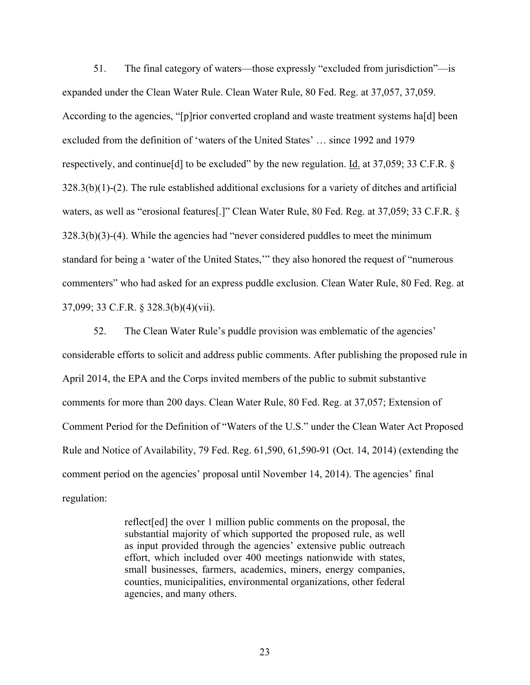51. The final category of waters—those expressly "excluded from jurisdiction"—is expanded under the Clean Water Rule. Clean Water Rule, 80 Fed. Reg. at 37,057, 37,059. According to the agencies, "[p]rior converted cropland and waste treatment systems ha[d] been excluded from the definition of 'waters of the United States' … since 1992 and 1979 respectively, and continue [d] to be excluded" by the new regulation. <u>Id.</u> at 37,059; 33 C.F.R. § 328.3(b)(1)-(2). The rule established additional exclusions for a variety of ditches and artificial waters, as well as "erosional features[.]" Clean Water Rule, 80 Fed. Reg. at 37,059; 33 C.F.R. § 328.3(b)(3)-(4). While the agencies had "never considered puddles to meet the minimum standard for being a 'water of the United States,'" they also honored the request of "numerous commenters" who had asked for an express puddle exclusion. Clean Water Rule, 80 Fed. Reg. at 37,099; 33 C.F.R. § 328.3(b)(4)(vii).

52. The Clean Water Rule's puddle provision was emblematic of the agencies' considerable efforts to solicit and address public comments. After publishing the proposed rule in April 2014, the EPA and the Corps invited members of the public to submit substantive comments for more than 200 days. Clean Water Rule, 80 Fed. Reg. at 37,057; Extension of Comment Period for the Definition of "Waters of the U.S." under the Clean Water Act Proposed Rule and Notice of Availability, 79 Fed. Reg. 61,590, 61,590-91 (Oct. 14, 2014) (extending the comment period on the agencies' proposal until November 14, 2014). The agencies' final regulation:

> reflect[ed] the over 1 million public comments on the proposal, the substantial majority of which supported the proposed rule, as well as input provided through the agencies' extensive public outreach effort, which included over 400 meetings nationwide with states, small businesses, farmers, academics, miners, energy companies, counties, municipalities, environmental organizations, other federal agencies, and many others.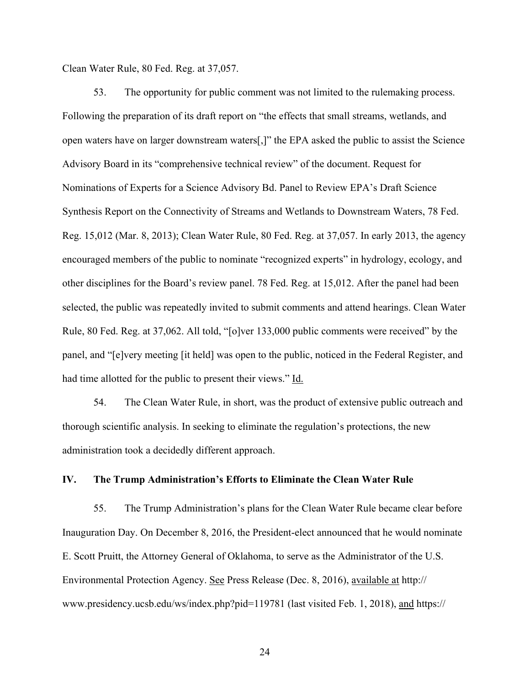Clean Water Rule, 80 Fed. Reg. at 37,057.

53. The opportunity for public comment was not limited to the rulemaking process. Following the preparation of its draft report on "the effects that small streams, wetlands, and open waters have on larger downstream waters[,]" the EPA asked the public to assist the Science Advisory Board in its "comprehensive technical review" of the document. Request for Nominations of Experts for a Science Advisory Bd. Panel to Review EPA's Draft Science Synthesis Report on the Connectivity of Streams and Wetlands to Downstream Waters, 78 Fed. Reg. 15,012 (Mar. 8, 2013); Clean Water Rule, 80 Fed. Reg. at 37,057. In early 2013, the agency encouraged members of the public to nominate "recognized experts" in hydrology, ecology, and other disciplines for the Board's review panel. 78 Fed. Reg. at 15,012. After the panel had been selected, the public was repeatedly invited to submit comments and attend hearings. Clean Water Rule, 80 Fed. Reg. at 37,062. All told, "[o]ver 133,000 public comments were received" by the panel, and "[e]very meeting [it held] was open to the public, noticed in the Federal Register, and had time allotted for the public to present their views." Id.

54. The Clean Water Rule, in short, was the product of extensive public outreach and thorough scientific analysis. In seeking to eliminate the regulation's protections, the new administration took a decidedly different approach.

#### **IV. The Trump Administration's Efforts to Eliminate the Clean Water Rule**

55. The Trump Administration's plans for the Clean Water Rule became clear before Inauguration Day. On December 8, 2016, the President-elect announced that he would nominate E. Scott Pruitt, the Attorney General of Oklahoma, to serve as the Administrator of the U.S. Environmental Protection Agency. See Press Release (Dec. 8, 2016), available at http:// www.presidency.ucsb.edu/ws/index.php?pid=119781 (last visited Feb. 1, 2018), and https://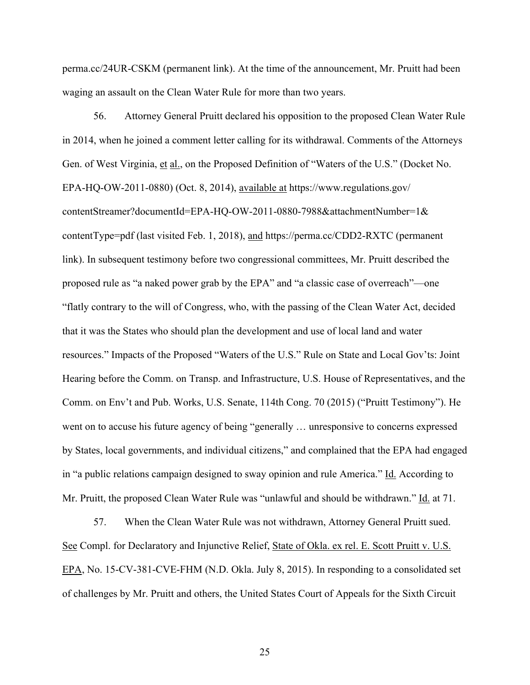perma.cc/24UR-CSKM (permanent link). At the time of the announcement, Mr. Pruitt had been waging an assault on the Clean Water Rule for more than two years.

56. Attorney General Pruitt declared his opposition to the proposed Clean Water Rule in 2014, when he joined a comment letter calling for its withdrawal. Comments of the Attorneys Gen. of West Virginia, et al., on the Proposed Definition of "Waters of the U.S." (Docket No. EPA-HQ-OW-2011-0880) (Oct. 8, 2014), available at https://www.regulations.gov/ contentStreamer?documentId=EPA-HQ-OW-2011-0880-7988&attachmentNumber=1& contentType=pdf (last visited Feb. 1, 2018), and https://perma.cc/CDD2-RXTC (permanent link). In subsequent testimony before two congressional committees, Mr. Pruitt described the proposed rule as "a naked power grab by the EPA" and "a classic case of overreach"—one "flatly contrary to the will of Congress, who, with the passing of the Clean Water Act, decided that it was the States who should plan the development and use of local land and water resources." Impacts of the Proposed "Waters of the U.S." Rule on State and Local Gov'ts: Joint Hearing before the Comm. on Transp. and Infrastructure, U.S. House of Representatives, and the Comm. on Env't and Pub. Works, U.S. Senate, 114th Cong. 70 (2015) ("Pruitt Testimony"). He went on to accuse his future agency of being "generally … unresponsive to concerns expressed by States, local governments, and individual citizens," and complained that the EPA had engaged in "a public relations campaign designed to sway opinion and rule America." Id. According to Mr. Pruitt, the proposed Clean Water Rule was "unlawful and should be withdrawn." <u>Id.</u> at 71.

57. When the Clean Water Rule was not withdrawn, Attorney General Pruitt sued. See Compl. for Declaratory and Injunctive Relief, State of Okla. ex rel. E. Scott Pruitt v. U.S. EPA, No. 15-CV-381-CVE-FHM (N.D. Okla. July 8, 2015). In responding to a consolidated set of challenges by Mr. Pruitt and others, the United States Court of Appeals for the Sixth Circuit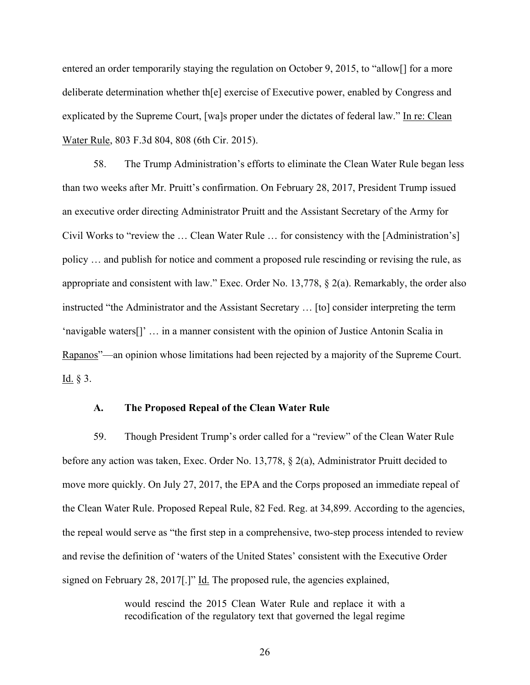entered an order temporarily staying the regulation on October 9, 2015, to "allow[] for a more deliberate determination whether th[e] exercise of Executive power, enabled by Congress and explicated by the Supreme Court, [wa]s proper under the dictates of federal law." In re: Clean Water Rule, 803 F.3d 804, 808 (6th Cir. 2015).

58. The Trump Administration's efforts to eliminate the Clean Water Rule began less than two weeks after Mr. Pruitt's confirmation. On February 28, 2017, President Trump issued an executive order directing Administrator Pruitt and the Assistant Secretary of the Army for Civil Works to "review the … Clean Water Rule … for consistency with the [Administration's] policy … and publish for notice and comment a proposed rule rescinding or revising the rule, as appropriate and consistent with law." Exec. Order No. 13,778, § 2(a). Remarkably, the order also instructed "the Administrator and the Assistant Secretary … [to] consider interpreting the term 'navigable waters[]' … in a manner consistent with the opinion of Justice Antonin Scalia in Rapanos"—an opinion whose limitations had been rejected by a majority of the Supreme Court.  $\underline{\text{Id.}}$  § 3.

### **A. The Proposed Repeal of the Clean Water Rule**

59. Though President Trump's order called for a "review" of the Clean Water Rule before any action was taken, Exec. Order No. 13,778, § 2(a), Administrator Pruitt decided to move more quickly. On July 27, 2017, the EPA and the Corps proposed an immediate repeal of the Clean Water Rule. Proposed Repeal Rule, 82 Fed. Reg. at 34,899. According to the agencies, the repeal would serve as "the first step in a comprehensive, two-step process intended to review and revise the definition of 'waters of the United States' consistent with the Executive Order signed on February 28, 2017.]" Id. The proposed rule, the agencies explained,

> would rescind the 2015 Clean Water Rule and replace it with a recodification of the regulatory text that governed the legal regime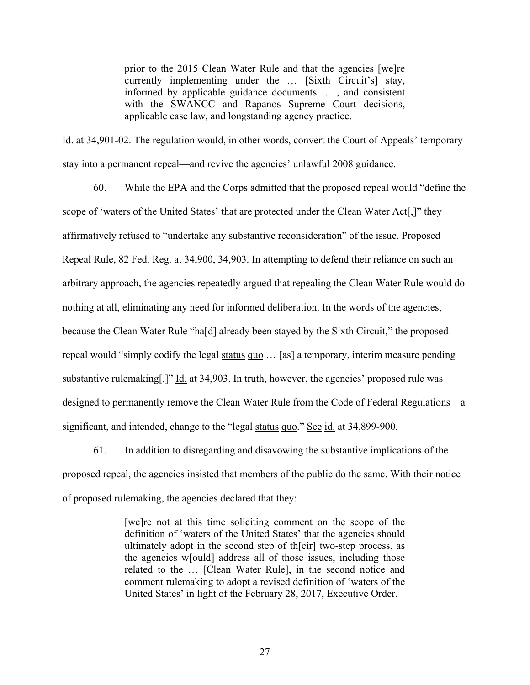prior to the 2015 Clean Water Rule and that the agencies [we]re currently implementing under the … [Sixth Circuit's] stay, informed by applicable guidance documents … , and consistent with the **SWANCC** and **Rapanos** Supreme Court decisions, applicable case law, and longstanding agency practice.

Id. at 34,901-02. The regulation would, in other words, convert the Court of Appeals' temporary stay into a permanent repeal—and revive the agencies' unlawful 2008 guidance.

60. While the EPA and the Corps admitted that the proposed repeal would "define the scope of 'waters of the United States' that are protected under the Clean Water Act[,]" they affirmatively refused to "undertake any substantive reconsideration" of the issue. Proposed Repeal Rule, 82 Fed. Reg. at 34,900, 34,903. In attempting to defend their reliance on such an arbitrary approach, the agencies repeatedly argued that repealing the Clean Water Rule would do nothing at all, eliminating any need for informed deliberation. In the words of the agencies, because the Clean Water Rule "ha[d] already been stayed by the Sixth Circuit," the proposed repeal would "simply codify the legal status quo … [as] a temporary, interim measure pending substantive rulemaking[.]" Id. at 34,903. In truth, however, the agencies' proposed rule was designed to permanently remove the Clean Water Rule from the Code of Federal Regulations—a significant, and intended, change to the "legal status quo." See id. at 34,899-900.

61. In addition to disregarding and disavowing the substantive implications of the proposed repeal, the agencies insisted that members of the public do the same. With their notice of proposed rulemaking, the agencies declared that they:

> [we]re not at this time soliciting comment on the scope of the definition of 'waters of the United States' that the agencies should ultimately adopt in the second step of th[eir] two-step process, as the agencies w[ould] address all of those issues, including those related to the … [Clean Water Rule], in the second notice and comment rulemaking to adopt a revised definition of 'waters of the United States' in light of the February 28, 2017, Executive Order.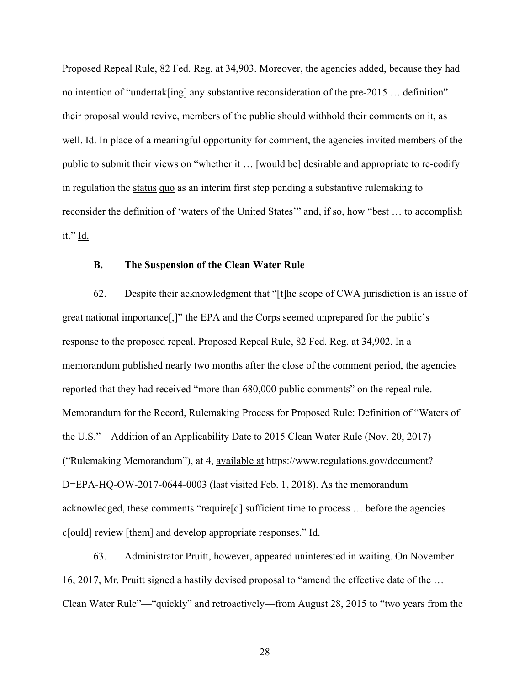Proposed Repeal Rule, 82 Fed. Reg. at 34,903. Moreover, the agencies added, because they had no intention of "undertak[ing] any substantive reconsideration of the pre-2015 … definition" their proposal would revive, members of the public should withhold their comments on it, as well. Id. In place of a meaningful opportunity for comment, the agencies invited members of the public to submit their views on "whether it … [would be] desirable and appropriate to re-codify in regulation the status quo as an interim first step pending a substantive rulemaking to reconsider the definition of 'waters of the United States'" and, if so, how "best … to accomplish it." Id.

### **B. The Suspension of the Clean Water Rule**

62. Despite their acknowledgment that "[t]he scope of CWA jurisdiction is an issue of great national importance[,]" the EPA and the Corps seemed unprepared for the public's response to the proposed repeal. Proposed Repeal Rule, 82 Fed. Reg. at 34,902. In a memorandum published nearly two months after the close of the comment period, the agencies reported that they had received "more than 680,000 public comments" on the repeal rule. Memorandum for the Record, Rulemaking Process for Proposed Rule: Definition of "Waters of the U.S."—Addition of an Applicability Date to 2015 Clean Water Rule (Nov. 20, 2017) ("Rulemaking Memorandum"), at 4, available at https://www.regulations.gov/document? D=EPA-HQ-OW-2017-0644-0003 (last visited Feb. 1, 2018). As the memorandum acknowledged, these comments "require[d] sufficient time to process … before the agencies c[ould] review [them] and develop appropriate responses." Id.

63. Administrator Pruitt, however, appeared uninterested in waiting. On November 16, 2017, Mr. Pruitt signed a hastily devised proposal to "amend the effective date of the … Clean Water Rule"—"quickly" and retroactively—from August 28, 2015 to "two years from the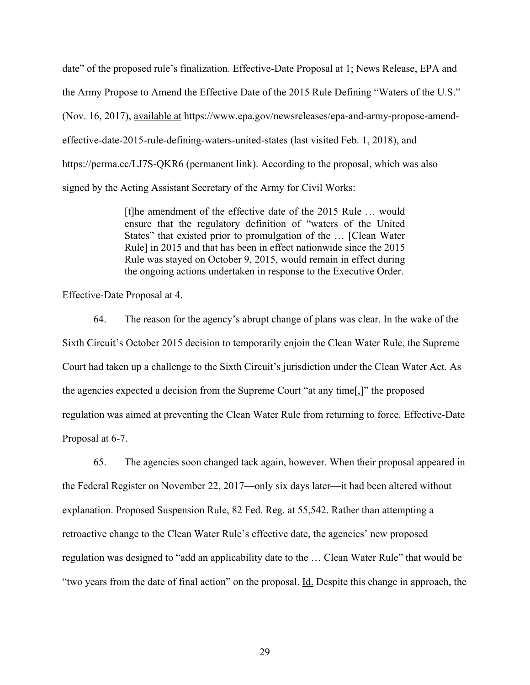date" of the proposed rule's finalization. Effective-Date Proposal at 1; News Release, EPA and the Army Propose to Amend the Effective Date of the 2015 Rule Defining "Waters of the U.S." (Nov. 16, 2017), available at https://www.epa.gov/newsreleases/epa-and-army-propose-amendeffective-date-2015-rule-defining-waters-united-states (last visited Feb. 1, 2018), and https://perma.cc/LJ7S-QKR6 (permanent link). According to the proposal, which was also signed by the Acting Assistant Secretary of the Army for Civil Works:

> [t]he amendment of the effective date of the 2015 Rule … would ensure that the regulatory definition of "waters of the United States" that existed prior to promulgation of the … [Clean Water Rule] in 2015 and that has been in effect nationwide since the 2015 Rule was stayed on October 9, 2015, would remain in effect during the ongoing actions undertaken in response to the Executive Order.

Effective-Date Proposal at 4.

64. The reason for the agency's abrupt change of plans was clear. In the wake of the Sixth Circuit's October 2015 decision to temporarily enjoin the Clean Water Rule, the Supreme Court had taken up a challenge to the Sixth Circuit's jurisdiction under the Clean Water Act. As the agencies expected a decision from the Supreme Court "at any time[,]" the proposed regulation was aimed at preventing the Clean Water Rule from returning to force. Effective-Date Proposal at 6-7.

65. The agencies soon changed tack again, however. When their proposal appeared in the Federal Register on November 22, 2017—only six days later—it had been altered without explanation. Proposed Suspension Rule, 82 Fed. Reg. at 55,542. Rather than attempting a retroactive change to the Clean Water Rule's effective date, the agencies' new proposed regulation was designed to "add an applicability date to the … Clean Water Rule" that would be "two years from the date of final action" on the proposal. Id. Despite this change in approach, the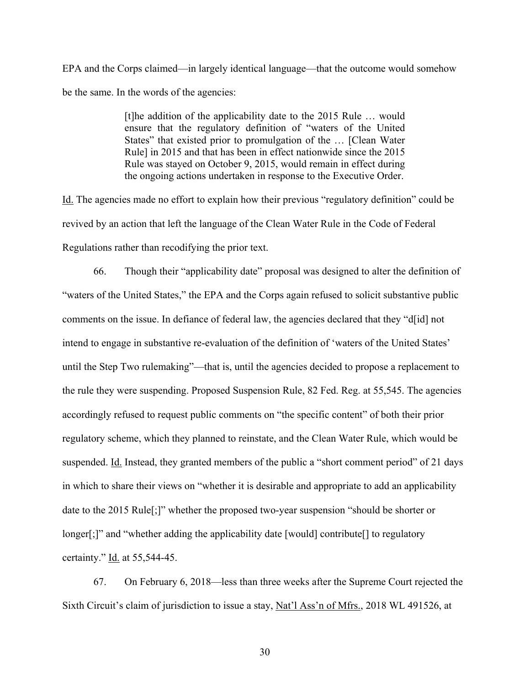EPA and the Corps claimed—in largely identical language—that the outcome would somehow be the same. In the words of the agencies:

> [t]he addition of the applicability date to the 2015 Rule … would ensure that the regulatory definition of "waters of the United States" that existed prior to promulgation of the … [Clean Water Rule] in 2015 and that has been in effect nationwide since the 2015 Rule was stayed on October 9, 2015, would remain in effect during the ongoing actions undertaken in response to the Executive Order.

Id. The agencies made no effort to explain how their previous "regulatory definition" could be revived by an action that left the language of the Clean Water Rule in the Code of Federal Regulations rather than recodifying the prior text.

66. Though their "applicability date" proposal was designed to alter the definition of "waters of the United States," the EPA and the Corps again refused to solicit substantive public comments on the issue. In defiance of federal law, the agencies declared that they "d[id] not intend to engage in substantive re-evaluation of the definition of 'waters of the United States' until the Step Two rulemaking"—that is, until the agencies decided to propose a replacement to the rule they were suspending. Proposed Suspension Rule, 82 Fed. Reg. at 55,545. The agencies accordingly refused to request public comments on "the specific content" of both their prior regulatory scheme, which they planned to reinstate, and the Clean Water Rule, which would be suspended. Id. Instead, they granted members of the public a "short comment period" of 21 days in which to share their views on "whether it is desirable and appropriate to add an applicability date to the 2015 Rule[;]" whether the proposed two-year suspension "should be shorter or longer[;]" and "whether adding the applicability date [would] contribute[] to regulatory certainty." Id. at 55,544-45.

67. On February 6, 2018—less than three weeks after the Supreme Court rejected the Sixth Circuit's claim of jurisdiction to issue a stay, Nat'l Ass'n of Mfrs., 2018 WL 491526, at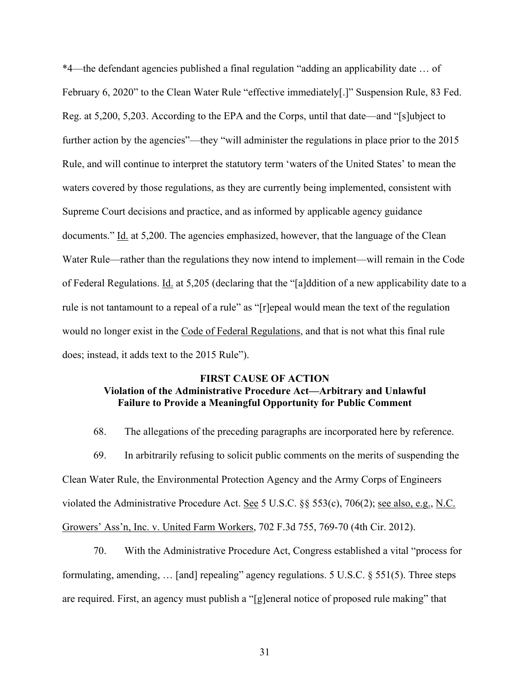\*4—the defendant agencies published a final regulation "adding an applicability date … of February 6, 2020" to the Clean Water Rule "effective immediately[.]" Suspension Rule, 83 Fed. Reg. at 5,200, 5,203. According to the EPA and the Corps, until that date—and "[s]ubject to further action by the agencies"—they "will administer the regulations in place prior to the 2015 Rule, and will continue to interpret the statutory term 'waters of the United States' to mean the waters covered by those regulations, as they are currently being implemented, consistent with Supreme Court decisions and practice, and as informed by applicable agency guidance documents." Id. at 5,200. The agencies emphasized, however, that the language of the Clean Water Rule—rather than the regulations they now intend to implement—will remain in the Code of Federal Regulations. Id. at 5,205 (declaring that the "[a]ddition of a new applicability date to a rule is not tantamount to a repeal of a rule" as "[r]epeal would mean the text of the regulation would no longer exist in the Code of Federal Regulations, and that is not what this final rule does; instead, it adds text to the 2015 Rule").

## **FIRST CAUSE OF ACTION Violation of the Administrative Procedure Act—Arbitrary and Unlawful Failure to Provide a Meaningful Opportunity for Public Comment**

68. The allegations of the preceding paragraphs are incorporated here by reference.

69. In arbitrarily refusing to solicit public comments on the merits of suspending the Clean Water Rule, the Environmental Protection Agency and the Army Corps of Engineers violated the Administrative Procedure Act. See 5 U.S.C. §§ 553(c), 706(2); see also, e.g., N.C. Growers' Ass'n, Inc. v. United Farm Workers, 702 F.3d 755, 769-70 (4th Cir. 2012).

70. With the Administrative Procedure Act, Congress established a vital "process for formulating, amending, … [and] repealing" agency regulations. 5 U.S.C. § 551(5). Three steps are required. First, an agency must publish a "[g]eneral notice of proposed rule making" that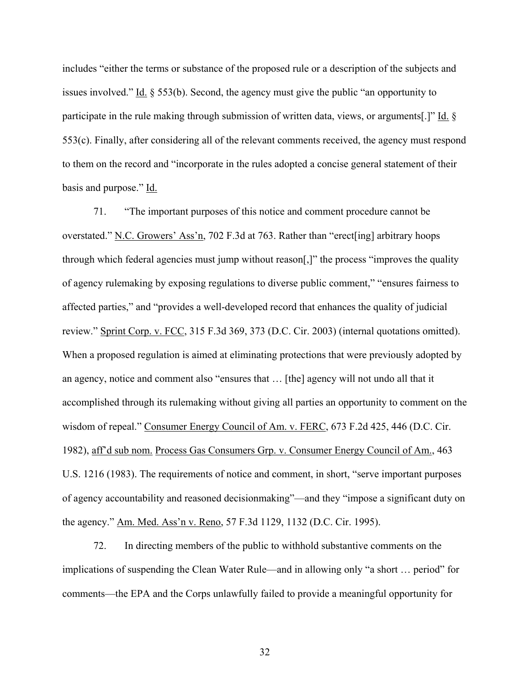includes "either the terms or substance of the proposed rule or a description of the subjects and issues involved." Id. § 553(b). Second, the agency must give the public "an opportunity to participate in the rule making through submission of written data, views, or arguments[.]" Id. § 553(c). Finally, after considering all of the relevant comments received, the agency must respond to them on the record and "incorporate in the rules adopted a concise general statement of their basis and purpose." Id.

71. "The important purposes of this notice and comment procedure cannot be overstated." N.C. Growers' Ass'n, 702 F.3d at 763. Rather than "erect[ing] arbitrary hoops through which federal agencies must jump without reason[,]" the process "improves the quality of agency rulemaking by exposing regulations to diverse public comment," "ensures fairness to affected parties," and "provides a well-developed record that enhances the quality of judicial review." Sprint Corp. v. FCC, 315 F.3d 369, 373 (D.C. Cir. 2003) (internal quotations omitted). When a proposed regulation is aimed at eliminating protections that were previously adopted by an agency, notice and comment also "ensures that … [the] agency will not undo all that it accomplished through its rulemaking without giving all parties an opportunity to comment on the wisdom of repeal." Consumer Energy Council of Am. v. FERC, 673 F.2d 425, 446 (D.C. Cir. 1982), aff'd sub nom. Process Gas Consumers Grp. v. Consumer Energy Council of Am., 463 U.S. 1216 (1983). The requirements of notice and comment, in short, "serve important purposes of agency accountability and reasoned decisionmaking"—and they "impose a significant duty on the agency." Am. Med. Ass'n v. Reno, 57 F.3d 1129, 1132 (D.C. Cir. 1995).

72. In directing members of the public to withhold substantive comments on the implications of suspending the Clean Water Rule—and in allowing only "a short … period" for comments—the EPA and the Corps unlawfully failed to provide a meaningful opportunity for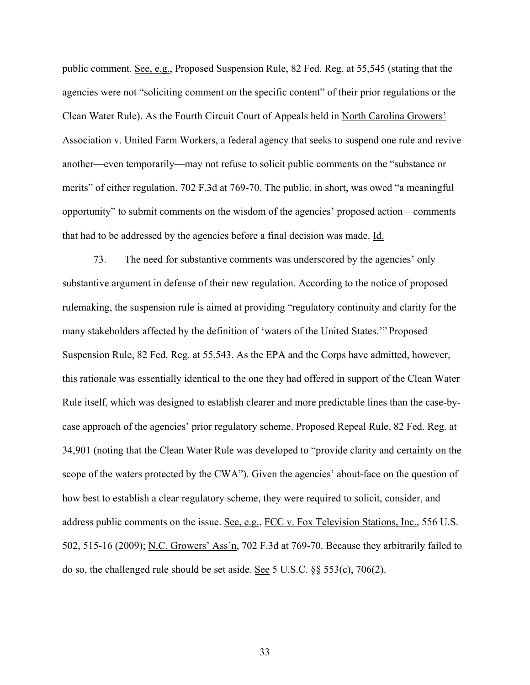public comment. See, e.g., Proposed Suspension Rule, 82 Fed. Reg. at 55,545 (stating that the agencies were not "soliciting comment on the specific content" of their prior regulations or the Clean Water Rule). As the Fourth Circuit Court of Appeals held in North Carolina Growers' Association v. United Farm Workers, a federal agency that seeks to suspend one rule and revive another—even temporarily—may not refuse to solicit public comments on the "substance or merits" of either regulation. 702 F.3d at 769-70. The public, in short, was owed "a meaningful opportunity" to submit comments on the wisdom of the agencies' proposed action—comments that had to be addressed by the agencies before a final decision was made. Id.

73. The need for substantive comments was underscored by the agencies' only substantive argument in defense of their new regulation. According to the notice of proposed rulemaking, the suspension rule is aimed at providing "regulatory continuity and clarity for the many stakeholders affected by the definition of 'waters of the United States.'" Proposed Suspension Rule, 82 Fed. Reg. at 55,543. As the EPA and the Corps have admitted, however, this rationale was essentially identical to the one they had offered in support of the Clean Water Rule itself, which was designed to establish clearer and more predictable lines than the case-bycase approach of the agencies' prior regulatory scheme. Proposed Repeal Rule, 82 Fed. Reg. at 34,901 (noting that the Clean Water Rule was developed to "provide clarity and certainty on the scope of the waters protected by the CWA"). Given the agencies' about-face on the question of how best to establish a clear regulatory scheme, they were required to solicit, consider, and address public comments on the issue. See, e.g., FCC v. Fox Television Stations, Inc., 556 U.S. 502, 515-16 (2009); N.C. Growers' Ass'n, 702 F.3d at 769-70. Because they arbitrarily failed to do so, the challenged rule should be set aside. See 5 U.S.C. §§ 553(c), 706(2).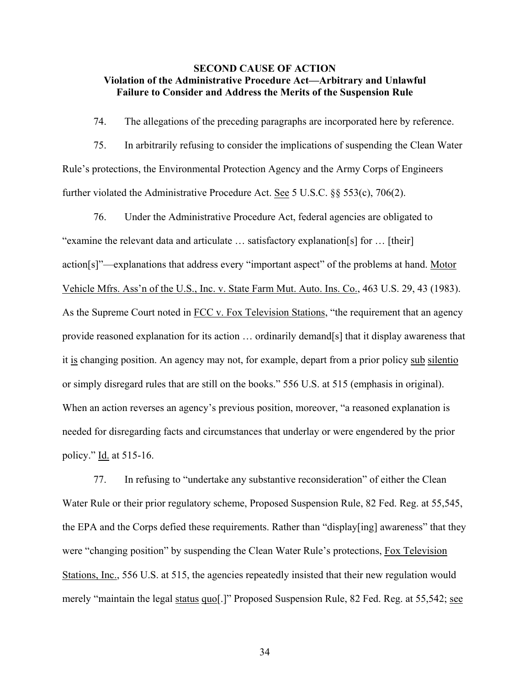### **SECOND CAUSE OF ACTION Violation of the Administrative Procedure Act—Arbitrary and Unlawful Failure to Consider and Address the Merits of the Suspension Rule**

74. The allegations of the preceding paragraphs are incorporated here by reference.

75. In arbitrarily refusing to consider the implications of suspending the Clean Water Rule's protections, the Environmental Protection Agency and the Army Corps of Engineers further violated the Administrative Procedure Act. See 5 U.S.C. §§ 553(c), 706(2).

76. Under the Administrative Procedure Act, federal agencies are obligated to "examine the relevant data and articulate … satisfactory explanation[s] for … [their] action[s]"—explanations that address every "important aspect" of the problems at hand. Motor Vehicle Mfrs. Ass'n of the U.S., Inc. v. State Farm Mut. Auto. Ins. Co., 463 U.S. 29, 43 (1983). As the Supreme Court noted in FCC v. Fox Television Stations, "the requirement that an agency provide reasoned explanation for its action … ordinarily demand[s] that it display awareness that it is changing position. An agency may not, for example, depart from a prior policy sub silentio or simply disregard rules that are still on the books." 556 U.S. at 515 (emphasis in original). When an action reverses an agency's previous position, moreover, "a reasoned explanation is needed for disregarding facts and circumstances that underlay or were engendered by the prior policy." Id. at 515-16.

77. In refusing to "undertake any substantive reconsideration" of either the Clean Water Rule or their prior regulatory scheme, Proposed Suspension Rule, 82 Fed. Reg. at 55,545, the EPA and the Corps defied these requirements. Rather than "display[ing] awareness" that they were "changing position" by suspending the Clean Water Rule's protections, Fox Television Stations, Inc., 556 U.S. at 515, the agencies repeatedly insisted that their new regulation would merely "maintain the legal status quo[.]" Proposed Suspension Rule, 82 Fed. Reg. at 55,542; see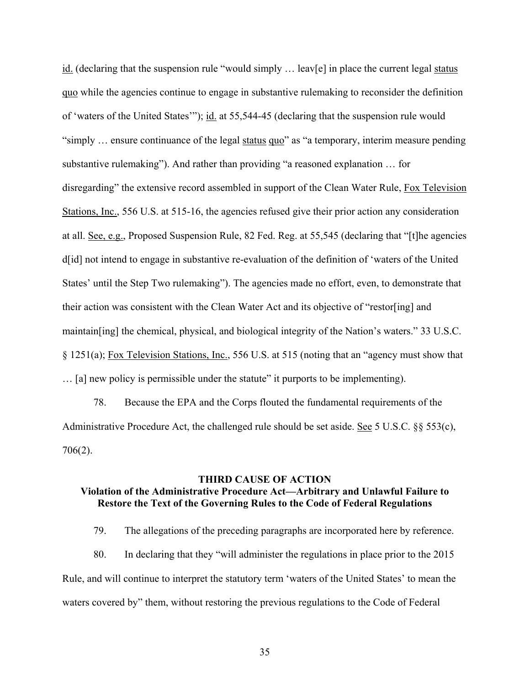$id.$  (declaring that the suspension rule "would simply ... leav[e] in place the current legal status quo while the agencies continue to engage in substantive rulemaking to reconsider the definition of 'waters of the United States'"); id. at 55,544-45 (declaring that the suspension rule would "simply … ensure continuance of the legal status quo" as "a temporary, interim measure pending substantive rulemaking"). And rather than providing "a reasoned explanation … for disregarding" the extensive record assembled in support of the Clean Water Rule, Fox Television Stations, Inc., 556 U.S. at 515-16, the agencies refused give their prior action any consideration at all. See, e.g., Proposed Suspension Rule, 82 Fed. Reg. at 55,545 (declaring that "[t]he agencies d[id] not intend to engage in substantive re-evaluation of the definition of 'waters of the United States' until the Step Two rulemaking"). The agencies made no effort, even, to demonstrate that their action was consistent with the Clean Water Act and its objective of "restor[ing] and maintain[ing] the chemical, physical, and biological integrity of the Nation's waters." 33 U.S.C. § 1251(a); Fox Television Stations, Inc., 556 U.S. at 515 (noting that an "agency must show that … [a] new policy is permissible under the statute" it purports to be implementing).

78. Because the EPA and the Corps flouted the fundamental requirements of the Administrative Procedure Act, the challenged rule should be set aside. See 5 U.S.C. §§ 553(c), 706(2).

#### **THIRD CAUSE OF ACTION**

## **Violation of the Administrative Procedure Act—Arbitrary and Unlawful Failure to Restore the Text of the Governing Rules to the Code of Federal Regulations**

79. The allegations of the preceding paragraphs are incorporated here by reference.

80. In declaring that they "will administer the regulations in place prior to the 2015 Rule, and will continue to interpret the statutory term 'waters of the United States' to mean the waters covered by" them, without restoring the previous regulations to the Code of Federal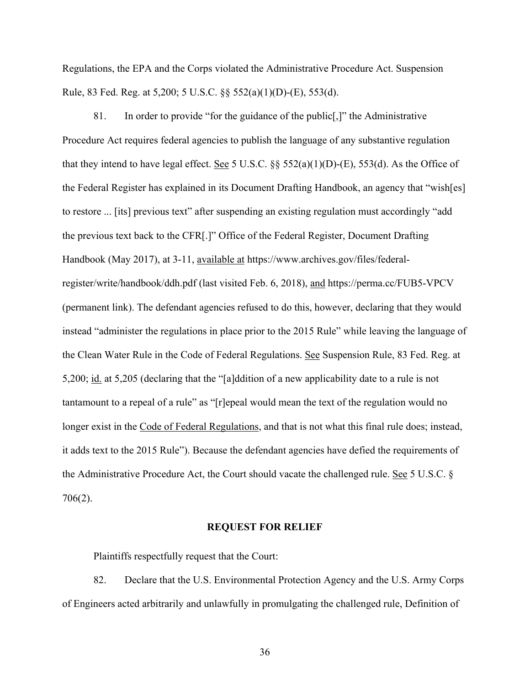Regulations, the EPA and the Corps violated the Administrative Procedure Act. Suspension Rule, 83 Fed. Reg. at 5,200; 5 U.S.C. §§ 552(a)(1)(D)-(E), 553(d).

81. In order to provide "for the guidance of the public[,]" the Administrative Procedure Act requires federal agencies to publish the language of any substantive regulation that they intend to have legal effect. See 5 U.S.C.  $\S$  552(a)(1)(D)-(E), 553(d). As the Office of the Federal Register has explained in its Document Drafting Handbook, an agency that "wish[es] to restore ... [its] previous text" after suspending an existing regulation must accordingly "add the previous text back to the CFR[.]" Office of the Federal Register, Document Drafting Handbook (May 2017), at 3-11, available at https://www.archives.gov/files/federalregister/write/handbook/ddh.pdf (last visited Feb. 6, 2018), and https://perma.cc/FUB5-VPCV (permanent link). The defendant agencies refused to do this, however, declaring that they would instead "administer the regulations in place prior to the 2015 Rule" while leaving the language of the Clean Water Rule in the Code of Federal Regulations. See Suspension Rule, 83 Fed. Reg. at 5,200; id. at 5,205 (declaring that the "[a]ddition of a new applicability date to a rule is not tantamount to a repeal of a rule" as "[r]epeal would mean the text of the regulation would no longer exist in the Code of Federal Regulations, and that is not what this final rule does; instead, it adds text to the 2015 Rule"). Because the defendant agencies have defied the requirements of the Administrative Procedure Act, the Court should vacate the challenged rule. See 5 U.S.C. § 706(2).

### **REQUEST FOR RELIEF**

Plaintiffs respectfully request that the Court:

82. Declare that the U.S. Environmental Protection Agency and the U.S. Army Corps of Engineers acted arbitrarily and unlawfully in promulgating the challenged rule, Definition of